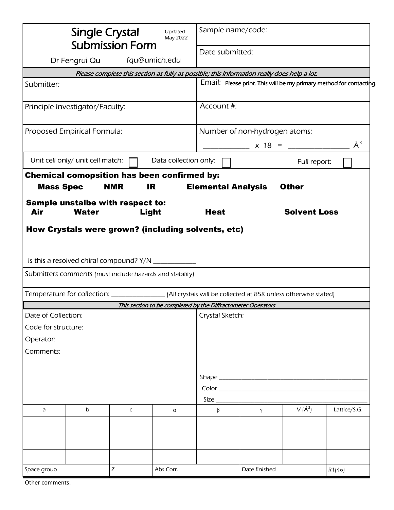| <b>Single Crystal</b><br>Updated<br>May 2022<br><b>Submission Form</b>                                      |                                  |                                           |                                                              | Sample name/code:<br>Date submitted:                                |                                                                                             |                     |               |  |
|-------------------------------------------------------------------------------------------------------------|----------------------------------|-------------------------------------------|--------------------------------------------------------------|---------------------------------------------------------------------|---------------------------------------------------------------------------------------------|---------------------|---------------|--|
| fqu@umich.edu<br>Dr Fengrui Qu                                                                              |                                  |                                           |                                                              |                                                                     |                                                                                             |                     |               |  |
|                                                                                                             |                                  |                                           |                                                              |                                                                     | Please complete this section as fully as possible; this information really does help a lot. |                     |               |  |
| Submitter:                                                                                                  |                                  |                                           |                                                              | Email: Please print. This will be my primary method for contacting. |                                                                                             |                     |               |  |
| Principle Investigator/Faculty:                                                                             |                                  |                                           |                                                              | Account #:                                                          |                                                                                             |                     |               |  |
| Proposed Empirical Formula:                                                                                 |                                  |                                           |                                                              | Number of non-hydrogen atoms:                                       |                                                                                             |                     |               |  |
|                                                                                                             |                                  |                                           |                                                              | $\AA^3$<br>$\frac{\ }{}$ x 18 = $\frac{\ }{}$                       |                                                                                             |                     |               |  |
|                                                                                                             | Unit cell only/ unit cell match: |                                           | Data collection only:                                        |                                                                     |                                                                                             | Full report:        |               |  |
| <b>Mass Spec</b>                                                                                            |                                  | <b>NMR</b>                                | <b>Chemical comopsition has been confirmed by:</b><br>IR     | <b>Elemental Analysis</b>                                           |                                                                                             | <b>Other</b>        |               |  |
| Air                                                                                                         | <b>Water</b>                     | Sample unstalbe with respect to:<br>Light |                                                              | <b>Heat</b>                                                         |                                                                                             | <b>Solvent Loss</b> |               |  |
| How Crystals were grown? (including solvents, etc)<br>Is this a resolved chiral compound? Y/N _____________ |                                  |                                           |                                                              |                                                                     |                                                                                             |                     |               |  |
| Submitters comments (must include hazards and stability)                                                    |                                  |                                           |                                                              |                                                                     |                                                                                             |                     |               |  |
|                                                                                                             |                                  |                                           |                                                              |                                                                     |                                                                                             |                     |               |  |
|                                                                                                             |                                  |                                           | This section to be completed by the Diffractometer Operators |                                                                     |                                                                                             |                     |               |  |
| Date of Collection:                                                                                         |                                  |                                           |                                                              | Crystal Sketch:                                                     |                                                                                             |                     |               |  |
| Code for structure:                                                                                         |                                  |                                           |                                                              |                                                                     |                                                                                             |                     |               |  |
| Operator:                                                                                                   |                                  |                                           |                                                              |                                                                     |                                                                                             |                     |               |  |
| Comments:                                                                                                   |                                  |                                           |                                                              |                                                                     |                                                                                             |                     |               |  |
|                                                                                                             |                                  |                                           |                                                              |                                                                     |                                                                                             |                     |               |  |
|                                                                                                             |                                  |                                           |                                                              |                                                                     |                                                                                             |                     |               |  |
|                                                                                                             |                                  |                                           |                                                              |                                                                     |                                                                                             |                     |               |  |
| a                                                                                                           | b                                | C                                         | α                                                            | Size $_{-}$<br>$\beta$                                              | $\gamma$                                                                                    | $V(\AA^3)$          | Lattice/S.G.  |  |
|                                                                                                             |                                  |                                           |                                                              |                                                                     |                                                                                             |                     |               |  |
|                                                                                                             |                                  |                                           |                                                              |                                                                     |                                                                                             |                     |               |  |
|                                                                                                             |                                  |                                           |                                                              |                                                                     |                                                                                             |                     |               |  |
| Space group                                                                                                 |                                  | Ζ                                         | Abs Corr.                                                    |                                                                     | Date finished                                                                               |                     | $R1(4\sigma)$ |  |

Other comments: